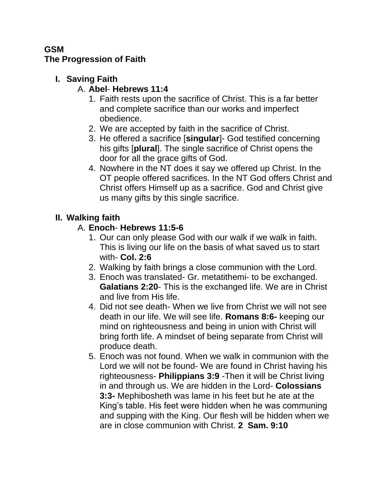#### **GSM The Progression of Faith**

## **I. Saving Faith**

## A. **Abel**- **Hebrews 11:4**

- 1. Faith rests upon the sacrifice of Christ. This is a far better and complete sacrifice than our works and imperfect obedience.
- 2. We are accepted by faith in the sacrifice of Christ.
- 3. He offered a sacrifice [**singular**]- God testified concerning his gifts [**plural**]. The single sacrifice of Christ opens the door for all the grace gifts of God.
- 4. Nowhere in the NT does it say we offered up Christ. In the OT people offered sacrifices. In the NT God offers Christ and Christ offers Himself up as a sacrifice. God and Christ give us many gifts by this single sacrifice.

# **II. Walking faith**

# A. **Enoch**- **Hebrews 11:5-6**

- 1. Our can only please God with our walk if we walk in faith. This is living our life on the basis of what saved us to start with- **Col. 2:6**
- 2. Walking by faith brings a close communion with the Lord.
- 3. Enoch was translated- Gr. metatithemi- to be exchanged. **Galatians 2:20**- This is the exchanged life. We are in Christ and live from His life.
- 4. Did not see death- When we live from Christ we will not see death in our life. We will see life. **Romans 8:6-** keeping our mind on righteousness and being in union with Christ will bring forth life. A mindset of being separate from Christ will produce death.
- 5. Enoch was not found. When we walk in communion with the Lord we will not be found- We are found in Christ having his righteousness- **Philippians 3:9** -Then it will be Christ living in and through us. We are hidden in the Lord- **Colossians 3:3-** Mephibosheth was lame in his feet but he ate at the King's table. His feet were hidden when he was communing and supping with the King. Our flesh will be hidden when we are in close communion with Christ. **2 Sam. 9:10**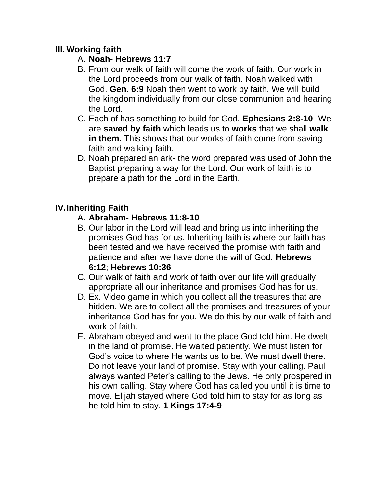#### **III. Working faith**

- A. **Noah Hebrews 11:7**
- B. From our walk of faith will come the work of faith. Our work in the Lord proceeds from our walk of faith. Noah walked with God. **Gen. 6:9** Noah then went to work by faith. We will build the kingdom individually from our close communion and hearing the Lord.
- C. Each of has something to build for God. **Ephesians 2:8-10** We are **saved by faith** which leads us to **works** that we shall **walk in them.** This shows that our works of faith come from saving faith and walking faith.
- D. Noah prepared an ark- the word prepared was used of John the Baptist preparing a way for the Lord. Our work of faith is to prepare a path for the Lord in the Earth.

### **IV.Inheriting Faith**

#### A. **Abraham**- **Hebrews 11:8-10**

- B. Our labor in the Lord will lead and bring us into inheriting the promises God has for us. Inheriting faith is where our faith has been tested and we have received the promise with faith and patience and after we have done the will of God. **Hebrews 6:12**; **Hebrews 10:36**
- C. Our walk of faith and work of faith over our life will gradually appropriate all our inheritance and promises God has for us.
- D. Ex. Video game in which you collect all the treasures that are hidden. We are to collect all the promises and treasures of your inheritance God has for you. We do this by our walk of faith and work of faith.
- E. Abraham obeyed and went to the place God told him. He dwelt in the land of promise. He waited patiently. We must listen for God's voice to where He wants us to be. We must dwell there. Do not leave your land of promise. Stay with your calling. Paul always wanted Peter's calling to the Jews. He only prospered in his own calling. Stay where God has called you until it is time to move. Elijah stayed where God told him to stay for as long as he told him to stay. **1 Kings 17:4-9**